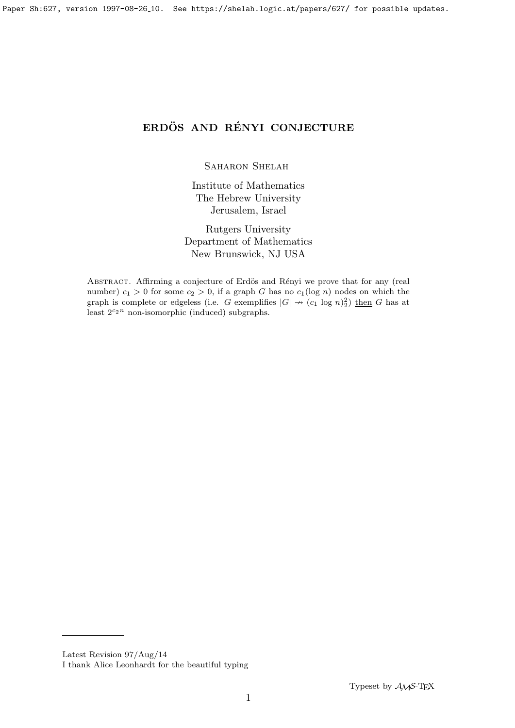# ERDÖS AND RÉNYI CONJECTURE

SAHARON SHELAH

Institute of Mathematics The Hebrew University Jerusalem, Israel

Rutgers University Department of Mathematics New Brunswick, NJ USA

ABSTRACT. Affirming a conjecture of Erdös and Rényi we prove that for any (real number)  $c_1 > 0$  for some  $c_2 > 0$ , if a graph G has no  $c_1(\log n)$  nodes on which the graph is complete or edgeless (i.e. G exemplifies  $|G| \nrightarrow (c_1 \log n)_2^2$ ) then G has at least  $2^{c_2n}$  non-isomorphic (induced) subgraphs.

Latest Revision 97/Aug/14

I thank Alice Leonhardt for the beautiful typing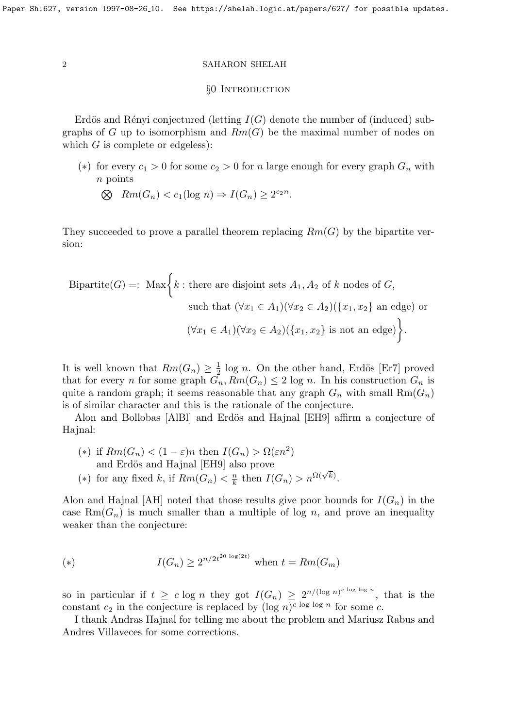### §0 INTRODUCTION

Erdös and Rényi conjectured (letting  $I(G)$  denote the number of (induced) subgraphs of G up to isomorphism and  $Rm(G)$  be the maximal number of nodes on which  $G$  is complete or edgeless):

(\*) for every  $c_1 > 0$  for some  $c_2 > 0$  for n large enough for every graph  $G_n$  with n points

$$
\bigotimes \quad Rm(G_n) < c_1(\log n) \Rightarrow I(G_n) \ge 2^{c_2 n}.
$$

They succeeded to prove a parallel theorem replacing  $Rm(G)$  by the bipartite version:

Bipartite(G) =: Max 
$$
\left\{ k : \text{there are disjoint sets } A_1, A_2 \text{ of } k \text{ nodes of } G, \text{ such that } (\forall x_1 \in A_1)(\forall x_2 \in A_2)(\{x_1, x_2\} \text{ an edge}) \text{ or } (\forall x_1 \in A_1)(\forall x_2 \in A_2)(\{x_1, x_2\} \text{ is not an edge}) \right\}.
$$

It is well known that  $Rm(G_n) \geq \frac{1}{2}$  $\frac{1}{2}$  log *n*. On the other hand, Erdös [Er7] proved that for every *n* for some graph  $G_n$ ,  $Rm(G_n) \leq 2 \log n$ . In his construction  $G_n$  is quite a random graph; it seems reasonable that any graph  $G_n$  with small  $Rm(G_n)$ is of similar character and this is the rationale of the conjecture.

Alon and Bollobas [AlBl] and Erdös and Hajnal [EH9] affirm a conjecture of Hajnal:

- (\*) if  $Rm(G_n) < (1 \varepsilon)n$  then  $I(G_n) > \Omega(\varepsilon n^2)$ and Erdös and Hajnal [EH9] also prove
- (∗) for any fixed k, if  $Rm(G_n) < \frac{n}{k}$  $\frac{n}{k}$  then  $I(G_n) > n^{\Omega(\sqrt{k})}$ .

Alon and Hajnal [AH] noted that those results give poor bounds for  $I(G_n)$  in the case  $\text{Rm}(G_n)$  is much smaller than a multiple of log n, and prove an inequality weaker than the conjecture:

(\*) 
$$
I(G_n) \ge 2^{n/2t^{20 \log(2t)}}
$$
 when  $t = Rm(G_m)$ 

so in particular if  $t \geq c \log n$  they got  $I(G_n) \geq 2^{n/(\log n)^{c \log \log n}}$ , that is the constant  $c_2$  in the conjecture is replaced by  $(\log n)^{c \log \log n}$  for some c.

I thank Andras Hajnal for telling me about the problem and Mariusz Rabus and Andres Villaveces for some corrections.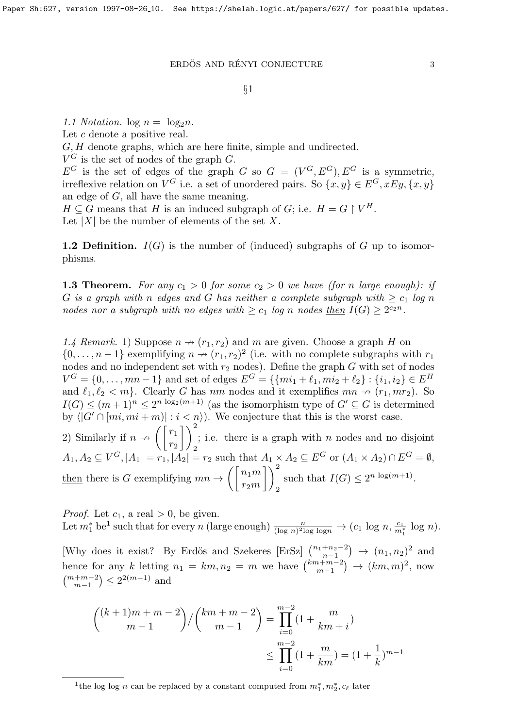$\begin{array}{lll}\hbox{ERDÖS AND RÉNYI CONJECTURE} \qquad \qquad & 3 \\\hline \end{array}$ 

# $§1$

1.1 Notation.  $\log n = \log_2 n$ . Let c denote a positive real. G, H denote graphs, which are here finite, simple and undirected.  $V^G$  is the set of nodes of the graph G.  $E^G$  is the set of edges of the graph G so  $G = (V^G, E^G), E^G$  is a symmetric, irreflexive relation on  $V^G$  i.e. a set of unordered pairs. So  $\{x, y\} \in E^G, xEy, \{x, y\}$ an edge of G, all have the same meaning.  $H \subseteq G$  means that H is an induced subgraph of G; i.e.  $H = G \restriction V^H$ . Let  $|X|$  be the number of elements of the set X.

**1.2 Definition.**  $I(G)$  is the number of (induced) subgraphs of G up to isomorphisms.

**1.3 Theorem.** For any  $c_1 > 0$  for some  $c_2 > 0$  we have (for n large enough): if G is a graph with n edges and G has neither a complete subgraph with  $\geq c_1$  log n nodes nor a subgraph with no edges with  $\geq c_1$  log n nodes then  $I(G) \geq 2^{c_2 n}$ .

1.4 Remark. 1) Suppose  $n \rightarrow (r_1, r_2)$  and m are given. Choose a graph H on  $\{0,\ldots,n-1\}$  exemplifying  $n \to (r_1, r_2)^2$  (i.e. with no complete subgraphs with  $r_1$ ) nodes and no independent set with  $r_2$  nodes). Define the graph G with set of nodes  $V^G = \{0, \ldots, mn - 1\}$  and set of edges  $E^G = \{\{mi_1 + \ell_1, mi_2 + \ell_2\} : \{i_1, i_2\} \in E^H\}$ and  $\ell_1, \ell_2 < m$ . Clearly G has nm nodes and it exemplifies  $mn \nrightarrow (r_1, mr_2)$ . So  $I(G) \leq (m+1)^n \leq 2^{n \log_2(m+1)}$  (as the isomorphism type of  $G' \subseteq G$  is determined by  $\langle |G' \cap [mi, mi + m]| : i < n \rangle$ . We conjecture that this is the worst case. 2) Similarly if  $n \rightarrow \left( \begin{bmatrix} r_1 \\ r_2 \end{bmatrix} \right)$  $r_2$  $\bigcap^2$ 2 ; i.e. there is a graph with  $n$  nodes and no disjoint  $A_1, A_2 \subseteq V^G, |A_1| = r_1, |A_2| = r_2$  such that  $A_1 \times A_2 \subseteq E^G$  or  $(A_1 \times A_2) \cap E^G = \emptyset$ , then there is G exemplifying  $mn \rightarrow \left( \begin{bmatrix} n_1m \\ n_2m \end{bmatrix} \right)$  $r_2m$  $\bigcap^2$ 2 such that  $I(G) \leq 2^{n \log(m+1)}$ .

*Proof.* Let  $c_1$ , a real  $> 0$ , be given. Let  $m_1^*$  be<sup>1</sup> such that for every n (large enough)  $\frac{n}{(\log n)^2 \log \log n} \to (c_1 \log n, \frac{c_1}{m_1^*} \log n)$ . [Why does it exist? By Erdös and Szekeres [ErSz]  $\binom{n_1+n_2-2}{n-1}$  $\binom{+n_2-2}{n_1-1}$  →  $(n_1, n_2)^2$  and hence for any k letting  $n_1 = km, n_2 = m$  we have  $\binom{km+m-2}{m-1}$  $\binom{n+m-2}{m-1}$   $\rightarrow$   $(km, m)^2$ , now  $\binom{m+m-2}{m-1} \leq 2^{2(m-1)}$  and

$$
\binom{(k+1)m+m-2}{m-1} / \binom{km+m-2}{m-1} = \prod_{i=0}^{m-2} (1 + \frac{m}{km+i})
$$
  

$$
\leq \prod_{i=0}^{m-2} (1 + \frac{m}{km}) = (1 + \frac{1}{k})^{m-1}
$$

<sup>&</sup>lt;sup>1</sup>the log log *n* can be replaced by a constant computed from  $m_1^*, m_2^*, c_\ell$  later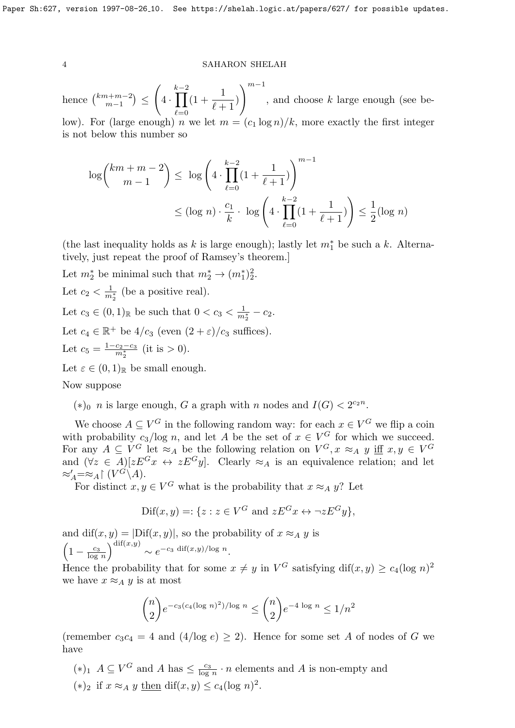hence  $\binom{km+m-2}{m-1}$  $_{m-1}^{n+m-2}) \leq$  $\sqrt{ }$ 4 ·  $k-2$ <br>  $\prod$  $_{\ell=0}$  $(1 + \frac{1}{\sqrt{2}})$  $\ell + 1$ )  $\bigwedge^{m-1}$ , and choose k large enough (see below). For (large enough) n we let  $m = (c_1 \log n)/k$ , more exactly the first integer is not below this number so

$$
\log {km + m - 2 \choose m - 1} \le \log \left( 4 \cdot \prod_{\ell=0}^{k-2} (1 + \frac{1}{\ell+1}) \right)^{m-1}
$$
  

$$
\le (\log n) \cdot \frac{c_1}{k} \cdot \log \left( 4 \cdot \prod_{\ell=0}^{k-2} (1 + \frac{1}{\ell+1}) \right) \le \frac{1}{2} (\log n)
$$

(the last inequality holds as k is large enough); lastly let  $m_1^*$  be such a k. Alternatively, just repeat the proof of Ramsey's theorem.]

Let  $m_2^*$  be minimal such that  $m_2^* \rightarrow (m_1^*)^2_2$ . Let  $c_2 < \frac{1}{m_2^*}$  (be a positive real). Let  $c_3 \in (0,1)_{\mathbb{R}}$  be such that  $0 < c_3 < \frac{1}{m_2^*} - c_2$ . Let  $c_4 \in \mathbb{R}^+$  be  $4/c_3$  (even  $(2 + \varepsilon)/c_3$  suffices). Let  $c_5 = \frac{1-c_2-c_3}{m_5^*}$  $rac{c_2-c_3}{m_2^*}$  (it is > 0). Let  $\varepsilon \in (0,1)_{\mathbb{R}}$  be small enough.

Now suppose

(\*)<sub>0</sub> *n* is large enough, *G* a graph with *n* nodes and *I*(*G*) <  $2^{c_2n}$ .

We choose  $A \subseteq V^G$  in the following random way: for each  $x \in V^G$  we flip a coin with probability  $c_3/\log n$ , and let A be the set of  $x \in V^G$  for which we succeed. For any  $A \subseteq V^G$  let  $\approx_A$  be the following relation on  $V^G$ ,  $x \approx_A y$  iff  $x, y \in V^G$ and  $(\forall z \in A)[zE^G x \leftrightarrow zE^G y]$ . Clearly  $\approx_A$  is an equivalence relation; and let  $\approx'_A = \approx_A \upharpoonright (V^G \backslash A).$ 

For distinct  $x, y \in V^G$  what is the probability that  $x \approx_A y$ ? Let

$$
\text{Dif}(x, y) =: \{ z : z \in V^G \text{ and } zE^G x \leftrightarrow \neg zE^G y \},
$$

and dif $(x, y) = |Diff(x, y)|$ , so the probability of  $x \approx_A y$  is  $\left(1-\frac{c_3}{\log n}\right)$  $log n$  $\int^{\text{dif}(x,y)} \sim e^{-c_3 \text{ dif}(x,y)/\log n}.$ 

Hence the probability that for some  $x \neq y$  in  $V^G$  satisfying  $\text{diff}(x, y) \geq c_4(\log n)^2$ we have  $x \approx_A y$  is at most

$$
\binom{n}{2} e^{-c_3(c_4(\log n)^2)/\log n} \le \binom{n}{2} e^{-4 \log n} \le 1/n^2
$$

(remember  $c_3c_4 = 4$  and  $(4/log e) \ge 2$ ). Hence for some set A of nodes of G we have

 $(*)_1$   $A \subseteq V^G$  and  $A$  has  $\leq \frac{c_3}{\log n}$  $\frac{c_3}{\log n} \cdot n$  elements and A is non-empty and  $(*)_2$  if  $x \approx_A y$  then dif(x, y) ≤ c<sub>4</sub>(log n)<sup>2</sup>.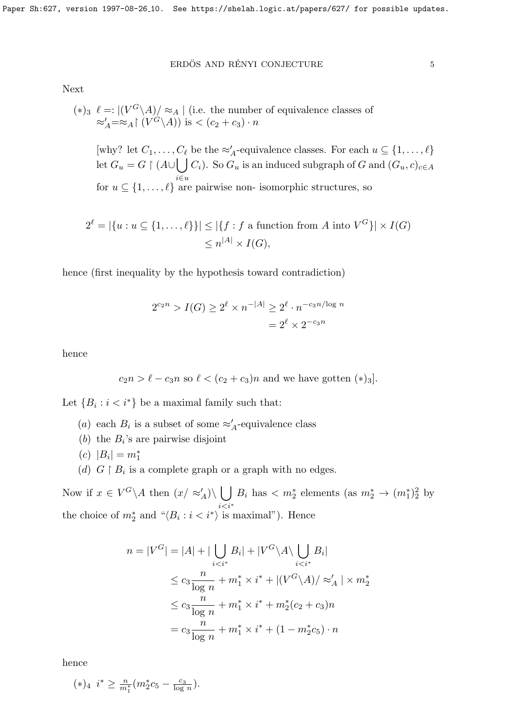## $\begin{minipage}{.4\linewidth} \textbf{ERDÖS AND RÉNYI CONJECTURE} \end{minipage} \begin{minipage}{.4\linewidth} \begin{minipage}{.4\linewidth} \begin{tabular}{lcccc} \textbf{S} & \textbf{S} & \textbf{S} & \textbf{S} \\ \textbf{S} & \textbf{S} & \textbf{S} & \textbf{S} \\ \textbf{S} & \textbf{S} & \textbf{S} & \textbf{S} & \textbf{S} \\ \textbf{S} & \textbf{S} & \textbf{S} & \textbf{S} & \textbf{S} \\ \textbf{S} & \textbf{S} & \textbf{S} & \textbf$

Next

$$
(*)_3 \ \ell =: |(V^G \backslash A)/\approx_A | \text{ (i.e. the number of equivalence classes of } \approx_A' = \approx_A | (V^G \backslash A)) \text{ is } \lt (c_2 + c_3) \cdot n
$$

[why? let  $C_1, \ldots, C_\ell$  be the  $\approx_A^{\prime}$ -equivalence classes. For each  $u \subseteq \{1, \ldots, \ell\}$ let  $G_u = G \restriction (A \cup \bigcup C_i)$ . So  $G_u$  is an induced subgraph of G and  $(G_u, c)_{c \in A}$ i∈u for  $u \subseteq \{1, \ldots, \ell\}$  are pairwise non- isomorphic structures, so

$$
2^{\ell} = |\{u : u \subseteq \{1, \dots, \ell\}\}| \le |\{f : f \text{ a function from } A \text{ into } V^G\}| \times I(G)
$$

$$
\le n^{|A|} \times I(G),
$$

hence (first inequality by the hypothesis toward contradiction)

$$
2^{c_2 n} > I(G) \ge 2^{\ell} \times n^{-|A|} \ge 2^{\ell} \cdot n^{-c_3 n / \log n}
$$
  
=  $2^{\ell} \times 2^{-c_3 n}$ 

hence

$$
c_2n > \ell - c_3n
$$
 so  $\ell < (c_2 + c_3)n$  and we have gotten (\*)3].

Let  ${B_i : i < i^*}$  be a maximal family such that:

- (a) each  $B_i$  is a subset of some  $\approx'_A$ -equivalence class
- (b) the  $B_i$ 's are pairwise disjoint
- $(c) |B_i| = m_1^*$
- (d)  $G \upharpoonright B_i$  is a complete graph or a graph with no edges.

Now if  $x \in V^G \backslash A$  then  $(x / \approx_A') \backslash \bigcup$  $i\lt i^*$  $B_i$  has  $\langle m_2^*$  elements (as  $m_2^* \to (m_1^*)^2$  by the choice of  $m_2^*$  and " $\langle B_i : i < i^* \rangle$  is maximal"). Hence

$$
n = |V^G| = |A| + |\bigcup_{i < i^*} B_i| + |V^G \setminus A \setminus \bigcup_{i < i^*} B_i|
$$
\n
$$
\leq c_3 \frac{n}{\log n} + m_1^* \times i^* + |(V^G \setminus A) / \approx_A' | \times m_2^* \leq c_3 \frac{n}{\log n} + m_1^* \times i^* + m_2^*(c_2 + c_3)n
$$
\n
$$
= c_3 \frac{n}{\log n} + m_1^* \times i^* + (1 - m_2^* c_5) \cdot n
$$

hence

 $(*)_4$   $i^* \geq \frac{n}{m_1^*} (m_2^* c_5 - \frac{c_3}{\log n})$  $\frac{c_3}{\log n}$ .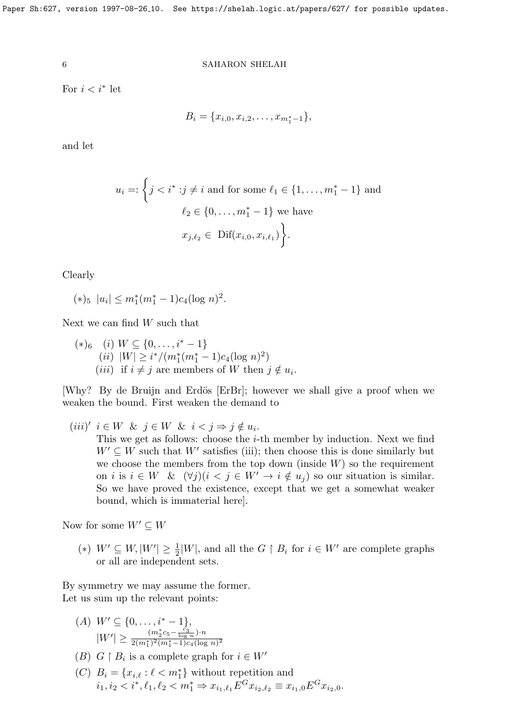For  $i < i^*$  let

$$
B_i = \{x_{i,0}, x_{i,2}, \ldots, x_{m_1^*-1}\},\,
$$

and let

$$
u_i =: \left\{ j < i^* : j \neq i \text{ and for some } \ell_1 \in \{1, \dots, m_1^* - 1\} \text{ and}
$$
\n
$$
\ell_2 \in \{0, \dots, m_1^* - 1\} \text{ we have}
$$
\n
$$
x_{j, \ell_2} \in \text{Dif}(x_{i,0}, x_{i, \ell_1}) \right\}.
$$

Clearly

 $(*)_5 |u_i| \leq m_1^*(m_1^* - 1)c_4(\log n)^2$ .

Next we can find W such that

$$
(*)_6 \quad (i) \ W \subseteq \{0, \ldots, i^* - 1\}
$$
  
\n
$$
(ii) \ |W| \geq i^*/(m_1^*(m_1^* - 1)c_4(\log n)^2)
$$
  
\n
$$
(iii) \text{ if } i \neq j \text{ are members of } W \text{ then } j \notin u_i.
$$

[Why? By de Bruijn and Erdös [ErBr]; however we shall give a proof when we weaken the bound. First weaken the demand to

(iii)'  $i \in W$  &  $j \in W$  &  $i < j \Rightarrow j \notin u_i$ .

This we get as follows: choose the  $i$ -th member by induction. Next we find  $W' \subseteq W$  such that W' satisfies (iii); then choose this is done similarly but we choose the members from the top down (inside  $W$ ) so the requirement on i is  $i \in W$  &  $(\forall j)(i \leq j \in W' \rightarrow i \notin u_j)$  so our situation is similar. So we have proved the existence, except that we get a somewhat weaker bound, which is immaterial here].

Now for some  $W' \subset W$ 

(\*)  $W' \subseteq W, |W'| \geq \frac{1}{2}|W|$ , and all the  $G \upharpoonright B_i$  for  $i \in W'$  are complete graphs or all are independent sets.

By symmetry we may assume the former. Let us sum up the relevant points:

- $(A)$   $W' \subseteq \{0, \ldots, i^* 1\},\$  $|W'| \geq \frac{(m_2^* c_5 - \frac{c_3}{\log n}) \cdot n}{2(m^*)^2(m^*-1)c_4(\log n)}$  $\sqrt{2(m_1^*)^2(m_1^*-1)c_4(\log n)^2}$
- (B)  $G \upharpoonright B_i$  is a complete graph for  $i \in W'$
- (C)  $B_i = \{x_{i,\ell} : \ell < m_1^*\}$  without repetition and  $i_1, i_2 < i^*, \ell_1, \ell_2 < m_1^* \Rightarrow x_{i_1, \ell_1} E^G x_{i_2, \ell_2} \equiv x_{i_1, 0} E^G x_{i_2, 0}.$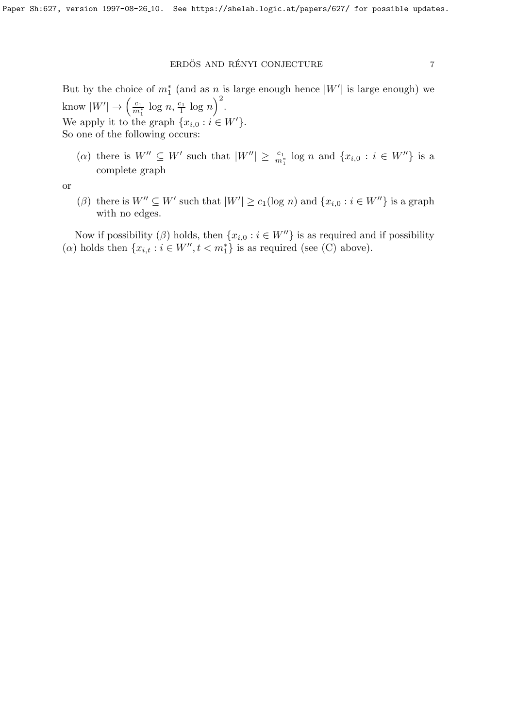# $\tt$  ERDÖS AND RÉNYI CONJECTURE  $\tt 7$

But by the choice of  $m_1^*$  (and as  $n_s$  is large enough hence  $|W'|$  is large enough) we know  $|W'| \to \left(\frac{c_1}{m_1^*} \log n, \frac{c_1}{1} \log n\right)^2$ . We apply it to the graph  $\{x_{i,0} : i \in W'\}.$ So one of the following occurs:

(a) there is  $W'' \subseteq W'$  such that  $|W''| \geq \frac{c_1}{m_1^*} \log n$  and  $\{x_{i,0} : i \in W''\}$  is a complete graph

or

( $\beta$ ) there is  $W'' \subseteq W'$  such that  $|W'| \geq c_1(\log n)$  and  $\{x_{i,0} : i \in W''\}$  is a graph with no edges.

Now if possibility ( $\beta$ ) holds, then  $\{x_{i,0} : i \in W''\}$  is as required and if possibility ( $\alpha$ ) holds then  $\{x_{i,t} : i \in W'', t < m_1^*\}$  is as required (see (C) above).